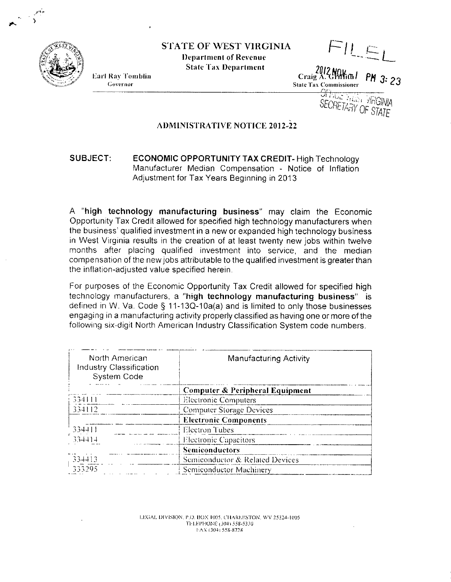

Earl Ray Tomblin

Governor

**STATE OF WEST VIRGINIA** 

**Department of Revenue State Tax Department** 

FILE Altim 1 PM 3: 23 Craig A

**State Tax Commissioner** 

**OFFICE YES VRGINIA SECRETARY OF STATE** 

## **ADMINISTRATIVE NOTICE 2012-22**

## SUBJECT: **ECONOMIC OPPORTUNITY TAX CREDIT-High Technology** Manufacturer Median Compensation - Notice of Inflation Adjustment for Tax Years Beginning in 2013

A "high technology manufacturing business" may claim the Economic Opportunity Tax Credit allowed for specified high technology manufacturers when the business' qualified investment in a new or expanded high technology business in West Virginia results in the creation of at least twenty new jobs within twelve months after placing qualified investment into service, and the median compensation of the new jobs attributable to the qualified investment is greater than the inflation-adjusted value specified herein.

For purposes of the Economic Opportunity Tax Credit allowed for specified high technology manufacturers, a "high technology manufacturing business" is defined in W. Va. Code  $\S$  11-13Q-10a(a) and is limited to only those businesses engaging in a manufacturing activity properly classified as having one or more of the following six-digit North American Industry Classification System code numbers.

| North American<br><b>Industry Classification</b><br>System Code | <b>Manufacturing Activity</b>   |  |
|-----------------------------------------------------------------|---------------------------------|--|
|                                                                 | Computer & Peripheral Equipment |  |
| 334111                                                          | <b>Electronic Computers</b>     |  |
| 334112                                                          | <b>Computer Storage Devices</b> |  |
|                                                                 | <b>Electronic Components</b>    |  |
| 334411                                                          | Electron Tubes                  |  |
| 334414                                                          | Electronic Capacitors           |  |
|                                                                 | <b>Semiconductors</b>           |  |
| 334413                                                          | Semiconductor & Related Devices |  |
| 333295                                                          | Semiconductor Machinery         |  |

LEGAL DIVISION, P.O. BOX 1005, CHARLESTON, WV 25324-1005 TELEPHONE (304) 558-5330 FAX (304) 558-8728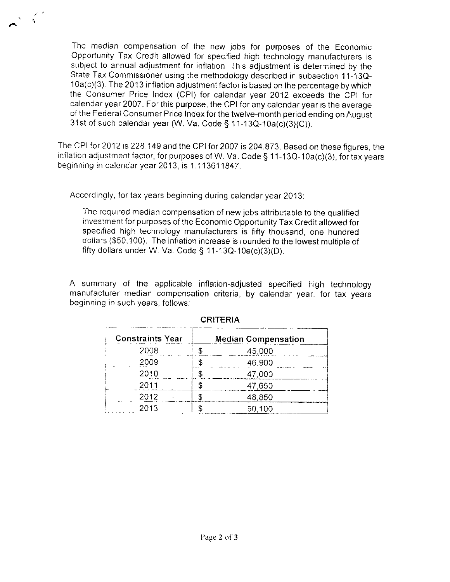The median compensation of the new jobs for purposes of the Economic Opportunity Tax Credit allowed for specified high technology manufacturers is subject to annual adjustment for inflation. This adjustment is determined by the State Tax Commissioner using the methodology described in subsection 11-13Q-10a(c)(3). The 2013 inflation adjustment factor is based on the percentage by which the Consumer Price Index (CPI) for calendar year 2012 exceeds the CPI for calendar year 2007. For this purpose, the CPI for any calendar year is the average of the Federal Consumer Price Index for the twelve-month period ending on August 31st of such calendar year (W. Va. Code § 11-13Q-10a(c)(3)(C)).

The CPI for 2012 is 228.149 and the CPI for 2007 is 204.873. Based on these figures, the inflation adjustment factor, for purposes of W. Va. Code § 11-13Q-10a(c)(3), for tax years beginning in calendar year 2013, is 1.113611847.

Accordingly, for tax years beginning during calendar year 2013:

 $\zeta$ 

The required median compensation of new jobs attributable to the qualified investment for purposes of the Economic Opportunity Tax Credit allowed for specified high technology manufacturers is fifty thousand, one hundred dollars (\$50,100). The inflation increase is rounded to the lowest multiple of fifty dollars under W. Va. Code § 11-13Q-10a(c)(3)(D).

A summary of the applicable inflation-adjusted specified high technology manufacturer median compensation criteria, by calendar year, for tax years beginning in such years, follows:

| <b>Constraints Year</b> | <b>Median Compensation</b> |
|-------------------------|----------------------------|
| 2008                    | 45,000                     |
| 2009                    | 46,900                     |
| 2010                    | 47,000                     |
| 2011                    | 47,650                     |
| 2012                    | 48,850                     |
| 2013                    | 50,100                     |

## **CRITERIA**